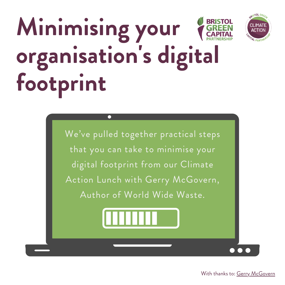# **Minimising your organisation 's digital footprint**





BRISTOL GRE

ד4MI ו.

**AL PARTNE**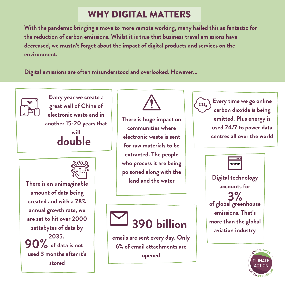## WHY DIGITAL MATTERS

**With the pandemic bringing a move to more remote working, many hailed this as fantastic for the reduction of carbon emissions. Whilst it is true that business travel emissions have decreased, we mustn't forget about the impact of digital products and services on the environment.**

**Digital emissions are often misunderstood and overlooked. However...**



**great wall of China of electronic waste and in another 15-20 years that will double**

**Every year we create a**



**90% There is an unimaginable amount of data being created and with a 28% annual growth rate, we are set to hit over 2000 zettabytes of data by 2035. of data is not used 3 months after it's stored**



**There is huge impact on communities where electronic waste is sent for raw materials to be extracted. The people who process it are being poisoned along with the land and the water**





**Every time we go online carbon dioxide is being emitted. Plus energy is used 24/7 to power data centres all over the world**



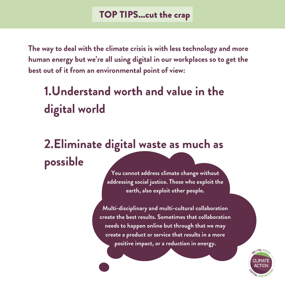**The way to deal with the climate crisis is with less technology and more human energy but we're all using digital in our workplaces so to get the best out of it from an environmental point of view:**

## **1.Understand worth and value in the digital world**

## **2.Eliminate digital waste as much as possible**

**You cannot address climate change without addressing social justice. Those who exploit the earth, also exploit other people.**

**Multi-disciplinary and multi-cultural collaboration create the best results. Sometimes that collaboration needs to happen online but through that we may create a product or service that results in a more positive impact, or a reduction in energy.**

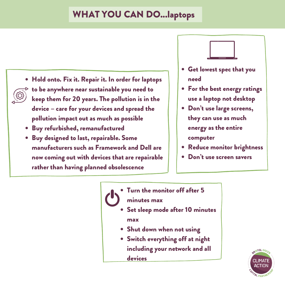### WHAT YOU CAN DO...laptops

- Hold onto. Fix it. Repair it. In order for laptops to be anywhere near sustainable you need to keep them for 20 years. The pollution is in the device – care for your devices and spread the pollution impact out as much as possible
	- Buy refurbished, remanufactured
	- Buy designed to last, repairable. Some manufacturers such as Framework and Dell are now coming out with devices that are repairable rather than having planned obsolescence
- Get lowest spec that you need
- For the best energy ratings use a laptop not desktop
- Don't use large screens, they can use as much energy as the entire computer
- Reduce monitor brightness
- Don't use screen savers

Turn the monitor off after 5 minutes max

- Set sleep mode after 10 minutes max
- Shut down when not using
- Switch everything off at night including your network and all devices

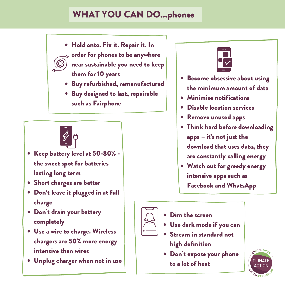## WHAT YOU CAN DO...phones

Hold onto. Fix it. Repair it. In

order for phones to be anywhere near sustainable you need to keep them for 10 years

- Buy refurbished, remanufactured
- Buy designed to last, repairable such as Fairphone



- Keep battery level at 50-80% the sweet spot for batteries lasting long term
- Short charges are better
- Don't leave it plugged in at full charge
- Don't drain your battery completely
- Use a wire to charge. Wireless chargers are 50% more energy intensive than wires
- Unplug charger when not in use



- **•** Become obsessive about using the minimum amount of data
- Minimise notifications
- Disable location services
- Remove unused apps
- Think hard before downloading apps – it's not just the download that uses data, they are constantly calling energy
- Watch out for greedy energy intensive apps such as Facebook and WhatsApp



- Dim the screen
- Use dark mode if you can
- Stream in standard not high definition
- Don't expose your phone to a lot of heat

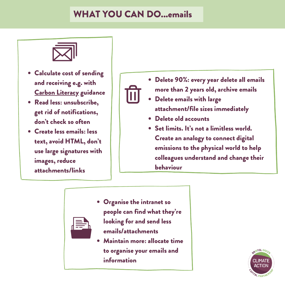#### WHAT YOU CAN DO...emails



- Calculate cost of sending and receiving e.g. with Carbon [Literacy](https://carbonliteracy.com/the-carbon-cost-of-an-email/) guidance
- Read less: unsubscribe, get rid of notifications, don't check so often
- Create less emails: less text, avoid HTML, don't use large signatures with images, reduce attachments/links



- Delete emails with large attachment/file sizes immediately
- Delete old accounts
- Set limits. It's not a limitless world. Create an analogy to connect digital emissions to the physical world to help colleagues understand and change their behaviour



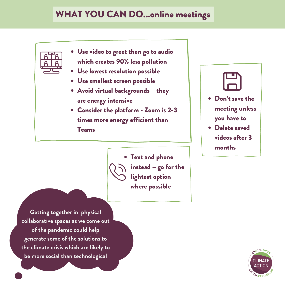#### WHAT YOU CAN DO...online meetings



- Use video to greet then go to audio which creates 90% less pollution
- Use lowest resolution possible
- Use smallest screen possible
- Avoid virtual backgrounds they are energy intensive
- Consider the platform Zoom is 2-3 times more energy efficient than Teams



Delete saved videos after 3 months



**Getting together in physical collaborative spaces as we come out of the pandemic could help generate some of the solutions to the climate crisis which are likely to be more social than technological**

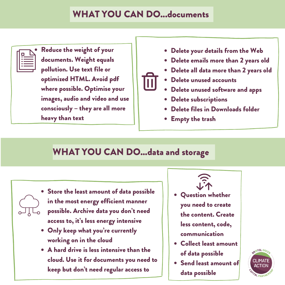#### WHAT YOU CAN DO...documents



Reduce the weight of your documents. Weight equals pollution. Use text file or optimized HTML. Avoid pdf where possible. Optimise your images, audio and video and use consciously – they are all more heavy than text

- Delete your details from the Web
- Delete emails more than 2 years old
- Delete all data more than 2 years old
- Delete unused accounts
- Delete unused software and apps
- Delete subscriptions  $\bullet$
- Delete files in Downloads folder
- Empty the trash

## WHAT YOU CAN DO...data and storage

- Store the least amount of data possible in the most energy efficient manner possible. Archive data you don't need access to, it's less energy intensive
- Only keep what you 're currently working on in the cloud
- A hard drive is less intensive than the cloud. Use it for documents you need to keep but don't need regular access to



- Collect least amount of data possible
- Send least amount of data possible